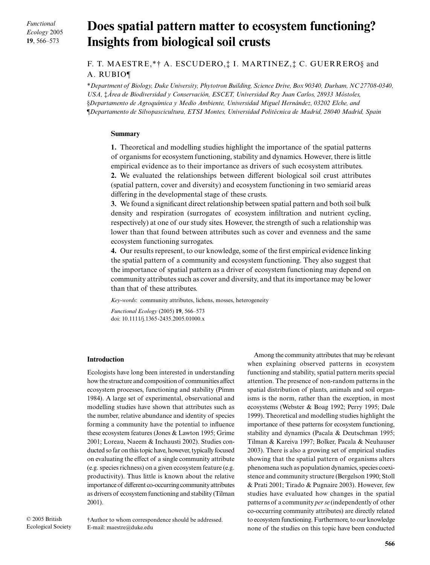*Functional Ecology* 2005 **19**, 566–573

# Does spatial pattern matter to ecosystem functioning? **Insights from biological soil crusts**

F. T. MAESTRE,\*† A. ESCUDERO,‡ I. MARTINEZ,‡ C. GUERRERO§ and A. RUBIO¶

\**Department of Biology, Duke University, Phytotron Building, Science Drive, Box 90340, Durham, NC 27708-0340, USA,* ‡*Área de Biodiversidad y Conservación, ESCET, Universidad Rey Juan Carlos, 28933 Móstoles,*  §*Departamento de Agroquímica y Medio Ambiente, Universidad Miguel Hernández, 03202 Elche, and*  ¶*Departamento de Silvopascicultura, ETSI Montes, Universidad Politécnica de Madrid, 28040 Madrid, Spain* 

# **Summary**

**1.** Theoretical and modelling studies highlight the importance of the spatial patterns of organisms for ecosystem functioning, stability and dynamics. However, there is little empirical evidence as to their importance as drivers of such ecosystem attributes.

**2.** We evaluated the relationships between different biological soil crust attributes (spatial pattern, cover and diversity) and ecosystem functioning in two semiarid areas differing in the developmental stage of these crusts.

**3.** We found a significant direct relationship between spatial pattern and both soil bulk density and respiration (surrogates of ecosystem infiltration and nutrient cycling, respectively) at one of our study sites. However, the strength of such a relationship was lower than that found between attributes such as cover and evenness and the same ecosystem functioning surrogates.

**4.** Our results represent, to our knowledge, some of the first empirical evidence linking the spatial pattern of a community and ecosystem functioning. They also suggest that the importance of spatial pattern as a driver of ecosystem functioning may depend on community attributes such as cover and diversity, and that its importance may be lower than that of these attributes.

*Key-words*: community attributes, lichens, mosses, heterogeneity

*Functional Ecology* (2005) **19**, 566–573 doi: 10.1111/j.1365-2435.2005.01000.x

# **Introduction**

Ecologists have long been interested in understanding how the structure and composition of communities affect ecosystem processes, functioning and stability (Pimm 1984). A large set of experimental, observational and modelling studies have shown that attributes such as the number, relative abundance and identity of species forming a community have the potential to influence these ecosystem features (Jones & Lawton 1995; Grime 2001; Loreau, Naeem & Inchausti 2002). Studies conducted so far on this topic have, however, typically focused on evaluating the effect of a single community attribute (e.g. species richness) on a given ecosystem feature (e.g. productivity). Thus little is known about the relative importance of different co-occurring community attributes as drivers of ecosystem functioning and stability (Tilman 2001).

†Author to whom correspondence should be addressed. E-mail: maestre@duke.edu

Among the community attributes that may be relevant when explaining observed patterns in ecosystem functioning and stability, spatial pattern merits special attention. The presence of non-random patterns in the spatial distribution of plants, animals and soil organisms is the norm, rather than the exception, in most ecosystems (Webster & Boag 1992; Perry 1995; Dale 1999). Theoretical and modelling studies highlight the importance of these patterns for ecosystem functioning, stability and dynamics (Pacala & Deutschman 1995; Tilman & Kareiva 1997; Bolker, Pacala & Neuhauser 2003). There is also a growing set of empirical studies showing that the spatial pattern of organisms alters phenomena such as population dynamics, species coexistence and community structure (Bergelson 1990; Stoll & Prati 2001; Tirado & Pugnaire 2003). However, few studies have evaluated how changes in the spatial patterns of a community *per se* (independently of other co-occurring community attributes) are directly related to ecosystem functioning. Furthermore, to our knowledge none of the studies on this topic have been conducted

© 2005 British Ecological Society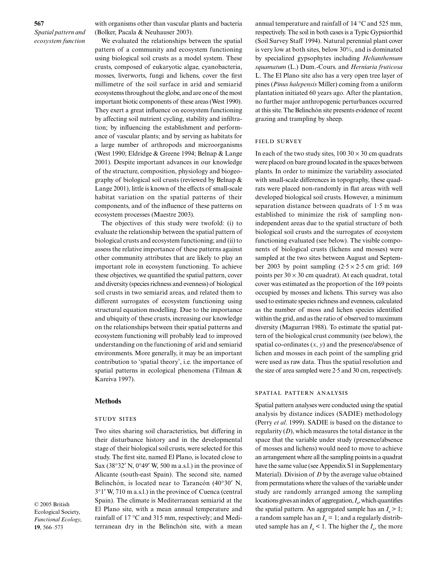# **567** *Spatial pattern and ecosystem function*

with organisms other than vascular plants and bacteria (Bolker, Pacala & Neuhauser 2003).

We evaluated the relationships between the spatial pattern of a community and ecosystem functioning using biological soil crusts as a model system. These crusts, composed of eukaryotic algae, cyanobacteria, mosses, liverworts, fungi and lichens, cover the first millimetre of the soil surface in arid and semiarid ecosystems throughout the globe, and are one of the most important biotic components of these areas (West 1990). They exert a great influence on ecosystem functioning by affecting soil nutrient cycling, stability and infiltration; by influencing the establishment and performance of vascular plants; and by serving as habitats for a large number of arthropods and microorganisms (West 1990; Eldridge & Greene 1994; Belnap & Lange 2001). Despite important advances in our knowledge of the structure, composition, physiology and biogeography of biological soil crusts (reviewed by Belnap & Lange 2001), little is known of the effects of small-scale habitat variation on the spatial patterns of their components, and of the influence of these patterns on ecosystem processes (Maestre 2003).

The objectives of this study were twofold: (i) to evaluate the relationship between the spatial pattern of biological crusts and ecosystem functioning; and (ii) to assess the relative importance of these patterns against other community attributes that are likely to play an important role in ecosystem functioning. To achieve these objectives, we quantified the spatial pattern, cover and diversity (species richness and evenness) of biological soil crusts in two semiarid areas, and related them to different surrogates of ecosystem functioning using structural equation modelling. Due to the importance and ubiquity of these crusts, increasing our knowledge on the relationships between their spatial patterns and ecosystem functioning will probably lead to improved understanding on the functioning of arid and semiarid environments. More generally, it may be an important contribution to 'spatial theory', i.e. the importance of spatial patterns in ecological phenomena (Tilman & Kareiva 1997).

#### **Methods**

#### **STUDY SITES**

Two sites sharing soil characteristics, but differing in their disturbance history and in the developmental stage of their biological soil crusts, were selected for this study. The first site, named El Plano, is located close to Sax (38°32′ N, 0°49′ W, 500 m a.s.l.) in the province of Alicante (south-east Spain). The second site, named Belinchón, is located near to Tarancón (40°30′ N, 3°1′ W, 710 m a.s.l.) in the province of Cuenca (central Spain). The climate is Mediterranean semiarid at the El Plano site, with a mean annual temperature and rainfall of 17 °C and 315 mm, respectively; and Mediterranean dry in the Belinchón site, with a mean

annual temperature and rainfall of 14 °C and 525 mm, respectively. The soil in both cases is a Typic Gypsiorthid (Soil Survey Staff 1994). Natural perennial plant cover is very low at both sites, below 30%, and is dominated by specialized gypsophytes including *Helianthemum squamatum* (L.) Dum.-Cours. and *Herniaria fruticosa* L. The El Plano site also has a very open tree layer of pines (*Pinus halepensis* Miller) coming from a uniform plantation initiated 60 years ago. After the plantation, no further major anthropogenic perturbances occurred at this site. The Belinchón site presents evidence of recent grazing and trampling by sheep.

#### **FIELD SURVEY**

In each of the two study sites,  $100\,30 \times 30$  cm quadrats were placed on bare ground located in the spaces between plants. In order to minimize the variability associated with small-scale differences in topography, these quadrats were placed non-randomly in flat areas with well developed biological soil crusts. However, a minimum separation distance between quadrats of 1·5 m was established to minimize the risk of sampling nonindependent areas due to the spatial structure of both biological soil crusts and the surrogates of ecosystem functioning evaluated (see below). The visible components of biological crusts (lichens and mosses) were sampled at the two sites between August and September 2003 by point sampling  $(2.5 \times 2.5 \text{ cm} \text{ grid}; 169)$ points per  $30 \times 30$  cm quadrat). At each quadrat, total cover was estimated as the proportion of the 169 points occupied by mosses and lichens. This survey was also used to estimate species richness and evenness, calculated as the number of moss and lichen species identified within the grid, and as the ratio of observed to maximum diversity (Magurran 1988). To estimate the spatial pattern of the biological crust community (see below), the spatial co-ordinates (*x*, *y*) and the presence/absence of lichen and mosses in each point of the sampling grid were used as raw data. Thus the spatial resolution and the size of area sampled were 2·5 and 30 cm, respectively.

## SPATIAL PATTERN ANALYSIS

Spatial pattern analyses were conducted using the spatial analysis by distance indices (SADIE) methodology (Perry *et al*. 1999). SADIE is based on the distance to regularity (*D*), which measures the total distance in the space that the variable under study (presence/absence of mosses and lichens) would need to move to achieve an arrangement where all the sampling points in a quadrat have the same value (see Appendix S1 in Supplementary Material). Division of *D* by the average value obtained from permutations where the values of the variable under study are randomly arranged among the sampling locations gives an index of aggregation,  $I_a$ , which quantifies the spatial pattern. An aggregated sample has an  $I_a > 1$ ; a random sample has an  $I<sub>a</sub> = 1$ ; and a regularly distributed sample has an  $I_a < 1$ . The higher the  $I_a$ , the more

© 2005 British Ecological Society, *Functional Ecology*, **19**, 566–573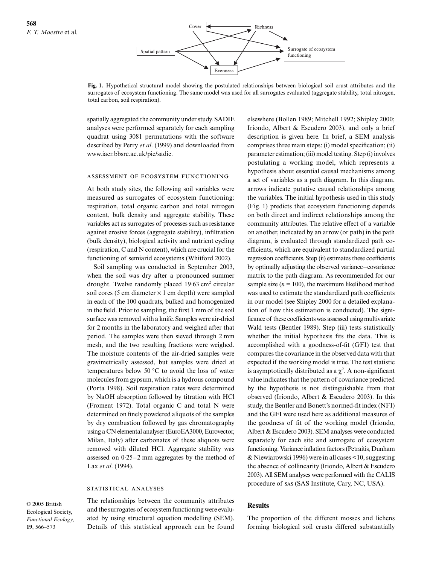

**Fig. 1.** Hypothetical structural model showing the postulated relationships between biological soil crust attributes and the surrogates of ecosystem functioning. The same model was used for all surrogates evaluated (aggregate stability, total nitrogen, total carbon, soil respiration).

spatially aggregated the community under study. SADIE analyses were performed separately for each sampling quadrat using 3081 permutations with the software described by Perry *et al*. (1999) and downloaded from www.iacr.bbsrc.ac.uk/pie/sadie.

## ASSESSMENT OF ECOSYSTEM FUNCTIONING

At both study sites, the following soil variables were measured as surrogates of ecosystem functioning: respiration, total organic carbon and total nitrogen content, bulk density and aggregate stability. These variables act as surrogates of processes such as resistance against erosive forces (aggregate stability), infiltration (bulk density), biological activity and nutrient cycling (respiration, C and N content), which are crucial for the functioning of semiarid ecosystems (Whitford 2002).

Soil sampling was conducted in September 2003, when the soil was dry after a pronounced summer drought. Twelve randomly placed 19.63 cm<sup>2</sup> circular soil cores (5 cm diameter  $\times$  1 cm depth) were sampled in each of the 100 quadrats, bulked and homogenized in the field. Prior to sampling, the first 1 mm of the soil surface was removed with a knife. Samples were air-dried for 2 months in the laboratory and weighed after that period. The samples were then sieved through 2 mm mesh, and the two resulting fractions were weighed. The moisture contents of the air-dried samples were gravimetrically assessed, but samples were dried at temperatures below 50 °C to avoid the loss of water molecules from gypsum, which is a hydrous compound (Porta 1998). Soil respiration rates were determined by NaOH absorption followed by titration with HCl (Froment 1972). Total organic C and total N were determined on finely powdered aliquots of the samples by dry combustion followed by gas chromatography using a CN elemental analyser (EuroEA3000, Eurovector, Milan, Italy) after carbonates of these aliquots were removed with diluted HCl. Aggregate stability was assessed on 0·25–2 mm aggregates by the method of Lax *et al*. (1994).

#### STATISTICAL ANALYSES

© 2005 British Ecological Society, *Functional Ecology*, **19**, 566–573

The relationships between the community attributes and the surrogates of ecosystem functioning were evaluated by using structural equation modelling (SEM). Details of this statistical approach can be found elsewhere (Bollen 1989; Mitchell 1992; Shipley 2000; Iriondo, Albert & Escudero 2003), and only a brief description is given here. In brief, a SEM analysis comprises three main steps: (i) model specification; (ii) parameter estimation; (iii) model testing. Step (i) involves postulating a working model, which represents a hypothesis about essential causal mechanisms among a set of variables as a path diagram. In this diagram, arrows indicate putative causal relationships among the variables. The initial hypothesis used in this study (Fig. 1) predicts that ecosystem functioning depends on both direct and indirect relationships among the community attributes. The relative effect of a variable on another, indicated by an arrow (or path) in the path diagram, is evaluated through standardized path coefficients, which are equivalent to standardized partial regression coefficients. Step (ii) estimates these coefficients by optimally adjusting the observed variance–covariance matrix to the path diagram. As recommended for our sample size  $(n = 100)$ , the maximum likelihood method was used to estimate the standardized path coefficients in our model (see Shipley 2000 for a detailed explanation of how this estimation is conducted). The significance of these coefficients was assessed using multivariate Wald tests (Bentler 1989). Step (iii) tests statistically whether the initial hypothesis fits the data. This is accomplished with a goodness-of-fit (GFI) test that compares the covariance in the observed data with that expected if the working model is true. The test statistic is asymptotically distributed as a  $\chi^2$ . A non-significant value indicates that the pattern of covariance predicted by the hypothesis is not distinguishable from that observed (Iriondo, Albert & Escudero 2003). In this study, the Bentler and Bonett's normed-fit index (NFI) and the GFI were used here as additional measures of the goodness of fit of the working model (Iriondo, Albert & Escudero 2003). SEM analyses were conducted separately for each site and surrogate of ecosystem functioning. Variance inflation factors (Petraitis, Dunham & Niewiarowski 1996) were in all cases <10, suggesting the absence of collinearity (Iriondo, Albert & Escudero 2003). All SEM analyses were performed with the CALIS procedure of sas (SAS Institute, Cary, NC, USA).

#### **Results**

The proportion of the different mosses and lichens forming biological soil crusts differed substantially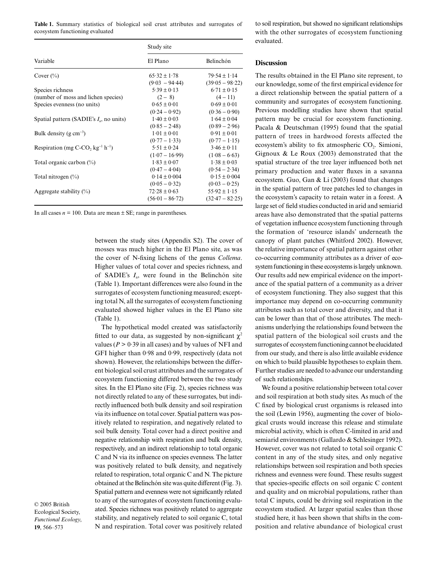Table 1. Summary statistics of biological soil crust attributes and surrogates of ecosystem functioning evaluated

| Variable                                   | Study site        |                   |
|--------------------------------------------|-------------------|-------------------|
|                                            | El Plano          | Belinchón         |
| Cover $(\%$                                | $65.32 \pm 1.78$  | $79.54 \pm 1.14$  |
|                                            | $(9.03 - 94.44)$  | $(39.05 - 98.22)$ |
| Species richness                           | $5.39 \pm 0.13$   | $6.71 \pm 0.15$   |
| (number of moss and lichen species)        | $(2 - 8)$         | $(4-11)$          |
| Species evenness (no units)                | $0.65 \pm 0.01$   | $0.69 \pm 0.01$   |
|                                            | $(0.24 - 0.92)$   | $(0.36 - 0.90)$   |
| Spatial pattern (SADIE's $I_a$ , no units) | $1.40 \pm 0.03$   | $1.64 \pm 0.04$   |
|                                            | $(0.85 - 2.48)$   | $(0.89 - 2.96)$   |
| Bulk density ( $g \text{ cm}^{-3}$ )       | $1.01 \pm 0.01$   | $0.91 \pm 0.01$   |
|                                            | $(0.77 - 1.33)$   | $(0.77 - 1.15)$   |
| Respiration (mg C-CO, $kg^{-1} h^{-1}$ )   | $5.51 \pm 0.24$   | $3.46 \pm 0.11$   |
|                                            | $(1.07 - 16.99)$  | $(1.08 - 6.63)$   |
| Total organic carbon $(\%)$                | $1.83 \pm 0.07$   | $1.38 \pm 0.03$   |
|                                            | $(0.47 - 4.04)$   | $(0.54 - 2.34)$   |
| Total nitrogen (%)                         | $0.14 \pm 0.004$  | $0.15 \pm 0.004$  |
|                                            | $(0.05 - 0.32)$   | $(0.03 - 0.25)$   |
| Aggregate stability $(\%)$                 | $72.28 \pm 0.63$  | $55.92 \pm 1.15$  |
|                                            | $(56.01 - 86.72)$ | $(32.47 - 82.25)$ |

In all cases  $n = 100$ . Data are mean  $\pm$  SE; range in parentheses.

between the study sites (Appendix S2). The cover of mosses was much higher in the El Plano site, as was the cover of N-fixing lichens of the genus *Collema*. Higher values of total cover and species richness, and of SADIE's *I*a, were found in the Belinchón site (Table 1). Important differences were also found in the surrogates of ecosystem functioning measured; excepting total N, all the surrogates of ecosystem functioning evaluated showed higher values in the El Plano site (Table 1).

The hypothetical model created was satisfactorily fitted to our data, as suggested by non-significant  $\chi^2$ values ( $P > 0.39$  in all cases) and by values of NFI and GFI higher than 0·98 and 0·99, respectively (data not shown). However, the relationships between the different biological soil crust attributes and the surrogates of ecosystem functioning differed between the two study sites. In the El Plano site (Fig. 2), species richness was not directly related to any of these surrogates, but indirectly influenced both bulk density and soil respiration via its influence on total cover. Spatial pattern was positively related to respiration, and negatively related to soil bulk density. Total cover had a direct positive and negative relationship with respiration and bulk density, respectively, and an indirect relationship to total organic C and N via its influence on species evenness. The latter was positively related to bulk density, and negatively related to respiration, total organic C and N. The picture obtained at the Belinchón site was quite different (Fig. 3). Spatial pattern and evenness were not significantly related to any of the surrogates of ecosystem functioning evaluated. Species richness was positively related to aggregate stability, and negatively related to soil organic C, total N and respiration. Total cover was positively related

© 2005 British Ecological Society, *Functional Ecology*, **19**, 566–573

to soil respiration, but showed no significant relationships with the other surrogates of ecosystem functioning evaluated.

## **Discussion**

The results obtained in the El Plano site represent, to our knowledge, some of the first empirical evidence for a direct relationship between the spatial pattern of a community and surrogates of ecosystem functioning. Previous modelling studies have shown that spatial pattern may be crucial for ecosystem functioning. Pacala & Deutschman (1995) found that the spatial pattern of trees in hardwood forests affected the ecosystem's ability to fix atmospheric  $CO<sub>2</sub>$ . Simioni, Gignoux & Le Roux (2003) demonstrated that the spatial structure of the tree layer influenced both net primary production and water fluxes in a savanna ecosystem. Guo, Gan & Li (2003) found that changes in the spatial pattern of tree patches led to changes in the ecosystem's capacity to retain water in a forest. A large set of field studies conducted in arid and semiarid areas have also demonstrated that the spatial patterns of vegetation influence ecosystem functioning through the formation of 'resource islands' underneath the canopy of plant patches (Whitford 2002). However, the relative importance of spatial pattern against other co-occurring community attributes as a driver of ecosystem functioning in these ecosystems is largely unknown. Our results add new empirical evidence on the importance of the spatial pattern of a community as a driver of ecosystem functioning. They also suggest that this importance may depend on co-occurring community attributes such as total cover and diversity, and that it can be lower than that of those attributes. The mechanisms underlying the relationships found between the spatial pattern of the biological soil crusts and the surrogates of ecosystem functioning cannot be elucidated from our study, and there is also little available evidence on which to build plausible hypotheses to explain them. Further studies are needed to advance our understanding of such relationships.

We found a positive relationship between total cover and soil respiration at both study sites. As much of the C fixed by biological crust organisms is released into the soil (Lewin 1956), augmenting the cover of biological crusts would increase this release and stimulate microbial activity, which is often C-limited in arid and semiarid environments (Gallardo & Schlesinger 1992). However, cover was not related to total soil organic C content in any of the study sites, and only negative relationships between soil respiration and both species richness and evenness were found. These results suggest that species-specific effects on soil organic C content and quality and on microbial populations, rather than total C inputs, could be driving soil respiration in the ecosystem studied. At larger spatial scales than those studied here, it has been shown that shifts in the composition and relative abundance of biological crust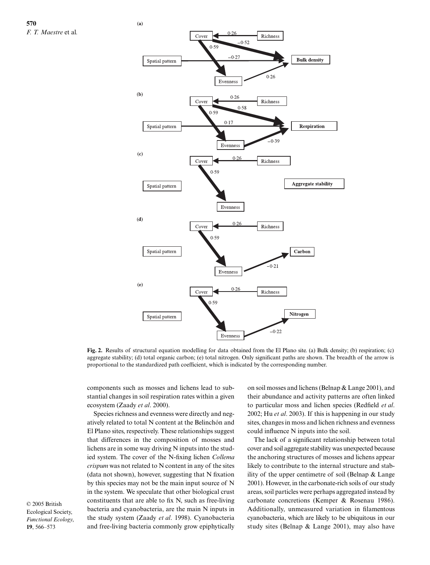

**Fig. 2.** Results of structural equation modelling for data obtained from the El Plano site. (a) Bulk density; (b) respiration; (c) aggregate stability; (d) total organic carbon; (e) total nitrogen. Only significant paths are shown. The breadth of the arrow is proportional to the standardized path coefficient, which is indicated by the corresponding number.

components such as mosses and lichens lead to substantial changes in soil respiration rates within a given ecosystem (Zaady *et al*. 2000).

Species richness and evenness were directly and negatively related to total N content at the Belinchón and El Plano sites, respectively. These relationships suggest that differences in the composition of mosses and lichens are in some way driving N inputs into the studied system. The cover of the N-fixing lichen *Collema crispum* was not related to N content in any of the sites (data not shown), however, suggesting that N fixation by this species may not be the main input source of N in the system. We speculate that other biological crust constituents that are able to fix N, such as free-living bacteria and cyanobacteria, are the main N inputs in the study system (Zaady *et al*. 1998). Cyanobacteria and free-living bacteria commonly grow epiphytically

© 2005 British Ecological Society, *Functional Ecology*, **19**, 566–573

on soil mosses and lichens (Belnap & Lange 2001), and their abundance and activity patterns are often linked to particular moss and lichen species (Redfield *et al*. 2002; Hu *et al*. 2003). If this is happening in our study sites, changes in moss and lichen richness and evenness could influence N inputs into the soil.

The lack of a significant relationship between total cover and soil aggregate stability was unexpected because the anchoring structures of mosses and lichens appear likely to contribute to the internal structure and stability of the upper centimetre of soil (Belnap & Lange 2001). However, in the carbonate-rich soils of our study areas, soil particles were perhaps aggregated instead by carbonate concretions (Kemper & Rosenau 1986). Additionally, unmeasured variation in filamentous cyanobacteria, which are likely to be ubiquitous in our study sites (Belnap & Lange 2001), may also have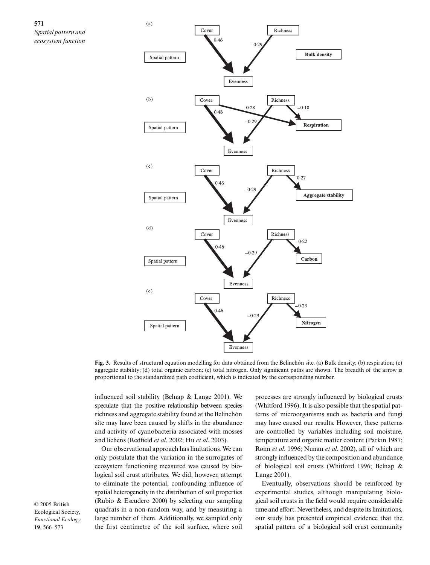



**Fig. 3.** Results of structural equation modelling for data obtained from the Belinchón site. (a) Bulk density; (b) respiration; (c) aggregate stability; (d) total organic carbon; (e) total nitrogen. Only significant paths are shown. The breadth of the arrow is proportional to the standardized path coefficient, which is indicated by the corresponding number.

influenced soil stability (Belnap & Lange 2001). We speculate that the positive relationship between species richness and aggregate stability found at the Belinchón site may have been caused by shifts in the abundance and activity of cyanobacteria associated with mosses and lichens (Redfield *et al*. 2002; Hu *et al*. 2003).

Our observational approach has limitations. We can only postulate that the variation in the surrogates of ecosystem functioning measured was caused by biological soil crust attributes. We did, however, attempt to eliminate the potential, confounding influence of spatial heterogeneity in the distribution of soil properties (Rubio & Escudero 2000) by selecting our sampling quadrats in a non-random way, and by measuring a large number of them. Additionally, we sampled only the first centimetre of the soil surface, where soil

processes are strongly influenced by biological crusts (Whitford 1996). It is also possible that the spatial patterns of microorganisms such as bacteria and fungi may have caused our results. However, these patterns are controlled by variables including soil moisture, temperature and organic matter content (Parkin 1987; Ronn *et al*. 1996; Nunan *et al*. 2002), all of which are strongly influenced by the composition and abundance of biological soil crusts (Whitford 1996; Belnap & Lange 2001).

Eventually, observations should be reinforced by experimental studies, although manipulating biological soil crusts in the field would require considerable time and effort. Nevertheless, and despite its limitations, our study has presented empirical evidence that the spatial pattern of a biological soil crust community

© 2005 British Ecological Society, *Functional Ecology*, **19**, 566–573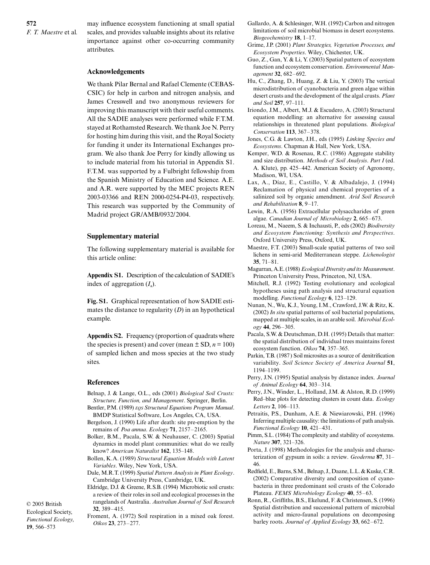may influence ecosystem functioning at small spatial scales, and provides valuable insights about its relative importance against other co-occurring community attributes.

# **Acknowledgements**

We thank Pilar Bernal and Rafael Clemente (CEBAS-CSIC) for help in carbon and nitrogen analysis, and James Cresswell and two anonymous reviewers for improving this manuscript with their useful comments. All the SADIE analyses were performed while F.T.M. stayed at Rothamsted Research. We thank Joe N. Perry for hosting him during this visit, and the Royal Society for funding it under its International Exchanges program. We also thank Joe Perry for kindly allowing us to include material from his tutorial in Appendix S1. F.T.M. was supported by a Fulbright fellowship from the Spanish Ministry of Education and Science. A.E. and A.R. were supported by the MEC projects REN 2003-03366 and REN 2000-0254-P4-03, respectively. This research was supported by the Community of Madrid project GR/AMB/0932/2004.

# **Supplementary material**

The following supplementary material is available for this article online:

**Appendix S1.** Description of the calculation of SADIE's index of aggregation  $(I_a)$ .

**Fig. S1.** Graphical representation of how SADIE estimates the distance to regularity (*D*) in an hypothetical example.

**Appendix S2.** Frequency (proportion of quadrats where the species is present) and cover (mean  $\pm$  SD,  $n = 100$ ) of sampled lichen and moss species at the two study sites.

# **References**

- Belnap, J. & Lange, O.L., eds (2001) *Biological Soil Crusts: Structure, Function, and Management*. Springer, Berlin.
- Bentler, P.M. (1989) *EQS Structural Equations Program Manual*. BMDP Statistical Software, Los Angeles, CA, USA.
- Bergelson, J. (1990) Life after death: site pre-emption by the remains of *Poa annua*. *Ecology* **71**, 2157–2165.
- Bolker, B.M., Pacala, S.W. & Neuhauser, C. (2003) Spatial dynamics in model plant communities: what do we really know? *American Naturalist* **162**, 135–148.
- Bollen, K.A. (1989) *Structural Equation Models with Latent Variables*. Wiley, New York, USA.
- Dale, M.R.T. (1999) *Spatial Pattern Analysis in Plant Ecology*. Cambridge University Press, Cambridge, UK.
- Eldridge, D.J. & Greene, R.S.B. (1994) Microbiotic soil crusts: a review of their roles in soil and ecological processes in the rangelands of Australia. *Australian Journal of Soil Research* **32**, 389–415.

Ecological Society, *Functional Ecology*, **19**, 566–573

© 2005 British

Froment, A. (1972) Soil respiration in a mixed oak forest. *Oikos* **23**, 273–277.

- Gallardo, A. & Schlesinger, W.H. (1992) Carbon and nitrogen limitations of soil microbial biomass in desert ecosystems. *Biogeochemistry* **18**, 1–17.
- Grime, J.P. (2001) *Plant Strategies, Vegetation Processes, and Ecosystem Properties*. Wiley, Chichester, UK.
- Guo, Z., Gan, Y. & Li, Y. (2003) Spatial pattern of ecosystem function and ecosystem conservation. *Environmental Management* **32**, 682–692.
- Hu, C., Zhang, D., Huang, Z. & Liu, Y. (2003) The vertical microdistribution of cyanobacteria and green algae within desert crusts and the development of the algal crusts. *Plant and Soil* **257**, 97–111.
- Iriondo, J.M., Albert, M.J. & Escudero, A. (2003) Structural equation modelling: an alternative for assessing causal relationships in threatened plant populations. *Biological Conservation* **113**, 367–378.
- Jones, C.G. & Lawton, J.H., eds (1995) *Linking Species and Ecosystems*. Chapman & Hall, New York, USA.
- Kemper, W.D. & Rosenau, R.C. (1986) Aggregate stability and size distribution. *Methods of Soil Analysis*. *Part I* (ed. A. Klute), pp. 425–442. American Society of Agronomy, Madison, WI, USA.
- Lax, A., Díaz, E., Castillo, V. & Albadalejo, J. (1994) Reclamation of physical and chemical properties of a salinized soil by organic amendment. *Arid Soil Research and Rehabilitation* **8**, 9–17.
- Lewin, R.A. (1956) Extracellular polysaccharides of green algae. *Canadian Journal of Microbiology* **2**, 665–673.
- Loreau, M., Naeem, S. & Inchausti, P., eds (2002) *Biodiversity and Ecosystem Functioning: Synthesis and Perspectives*. Oxford University Press, Oxford, UK.
- Maestre, F.T. (2003) Small-scale spatial patterns of two soil lichens in semi-arid Mediterranean steppe. *Lichenologist* **35**, 71–81.
- Magurran, A.E. (1988) *Ecological Diversity and its Measurement*. Princeton University Press, Princeton, NJ, USA.
- Mitchell, R.J. (1992) Testing evolutionary and ecological hypotheses using path analysis and structural equation modelling. *Functional Ecology* **6**, 123–129.
- Nunan, N., Wu, K.J., Young, I.M., Crawford, J.W. & Ritz, K. (2002) *In situ* spatial patterns of soil bacterial populations, mapped at multiple scales, in an arable soil. *Microbial Ecology* **44**, 296–305.
- Pacala, S.W. & Deutschman, D.H. (1995) Details that matter: the spatial distribution of individual trees maintains forest ecosystem function. *Oikos* **74**, 357–365.
- Parkin, T.B. (1987) Soil microsites as a source of denitrification variability. *Soil Science Society of America Journal* **51**, 1194–1199.
- Perry, J.N. (1995) Spatial analysis by distance index. *Journal of Animal Ecology* **64**, 303–314.
- Perry, J.N., Winder, L., Holland, J.M. & Alston, R.D. (1999) Red–blue plots for detecting clusters in count data. *Ecology Letters* **2**, 106–113.
- Petraitis, P.S., Dunham, A.E. & Niewiarowski, P.H. (1996) Inferring multiple causality: the limitations of path analysis. *Functional Ecology* **10**, 421–431.
- Pimm, S.L. (1984) The complexity and stability of ecosystems. *Nature* **307**, 321–326.
- Porta, J. (1998) Methodologies for the analysis and characterization of gypsum in soils: a review. *Geoderma* **87**, 31– 46.
- Redfield, E., Barns, S.M., Belnap, J., Daane, L.L. & Kuske, C.R. (2002) Comparative diversity and composition of cyanobacteria in three predominant soil crusts of the Colorado Plateau. *FEMS Microbiology Ecology* **40**, 55–63.
- Ronn, R., Griffiths, B.S., Ekelund, F. & Christensen, S. (1996) Spatial distribution and successional pattern of microbial activity and micro-faunal populations on decomposing barley roots. *Journal of Applied Ecology* **33**, 662–672.